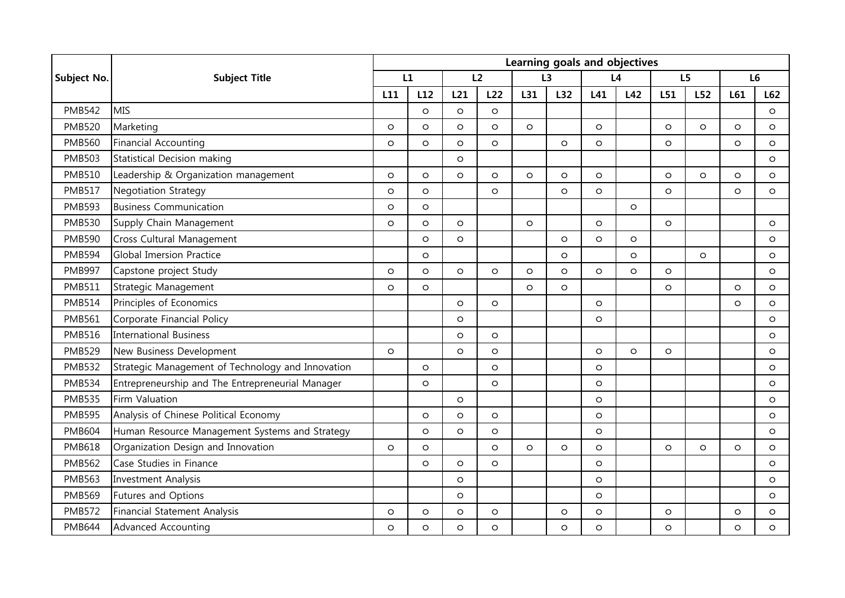|                    | <b>Subject Title</b>                              | Learning goals and objectives |         |         |         |         |         |         |         |                |         |                |         |
|--------------------|---------------------------------------------------|-------------------------------|---------|---------|---------|---------|---------|---------|---------|----------------|---------|----------------|---------|
| <b>Subject No.</b> |                                                   | L1                            |         | L2      |         | L3      |         | L4      |         | L <sub>5</sub> |         | L <sub>6</sub> |         |
|                    |                                                   | L11                           | L12     | L21     | L22     | L31     | L32     | L41     | L42     | L51            | L52     | L61            | L62     |
| <b>PMB542</b>      | <b>MIS</b>                                        |                               | $\circ$ | $\circ$ | $\circ$ |         |         |         |         |                |         |                | $\circ$ |
| <b>PMB520</b>      | Marketing                                         | $\circ$                       | $\circ$ | $\circ$ | $\circ$ | $\circ$ |         | $\circ$ |         | $\circ$        | $\circ$ | $\Omega$       | $\circ$ |
| <b>PMB560</b>      | <b>Financial Accounting</b>                       | $\circ$                       | $\circ$ | $\circ$ | $\circ$ |         | $\circ$ | $\circ$ |         | $\circ$        |         | $\circ$        | $\circ$ |
| <b>PMB503</b>      | Statistical Decision making                       |                               |         | $\circ$ |         |         |         |         |         |                |         |                | $\circ$ |
| <b>PMB510</b>      | Leadership & Organization management              | $\circ$                       | $\circ$ | $\circ$ | $\circ$ | $\circ$ | $\circ$ | $\circ$ |         | $\circ$        | $\circ$ | $\circ$        | $\circ$ |
| <b>PMB517</b>      | <b>Negotiation Strategy</b>                       | $\circ$                       | $\circ$ |         | $\circ$ |         | $\circ$ | $\circ$ |         | $\circ$        |         | $\circ$        | $\circ$ |
| <b>PMB593</b>      | <b>Business Communication</b>                     | $\circ$                       | $\circ$ |         |         |         |         |         | $\circ$ |                |         |                |         |
| <b>PMB530</b>      | Supply Chain Management                           | $\circ$                       | $\circ$ | $\circ$ |         | $\circ$ |         | $\circ$ |         | $\circ$        |         |                | $\circ$ |
| <b>PMB590</b>      | Cross Cultural Management                         |                               | $\circ$ | $\circ$ |         |         | $\circ$ | $\circ$ | $\circ$ |                |         |                | $\circ$ |
| <b>PMB594</b>      | <b>Global Imersion Practice</b>                   |                               | $\circ$ |         |         |         | $\circ$ |         | $\circ$ |                | $\circ$ |                | $\circ$ |
| <b>PMB997</b>      | Capstone project Study                            | $\circ$                       | $\circ$ | $\circ$ | $\circ$ | $\circ$ | $\circ$ | $\circ$ | $\circ$ | $\circ$        |         |                | $\circ$ |
| <b>PMB511</b>      | Strategic Management                              | $\circ$                       | $\circ$ |         |         | $\circ$ | $\circ$ |         |         | $\circ$        |         | $\circ$        | $\circ$ |
| <b>PMB514</b>      | Principles of Economics                           |                               |         | $\circ$ | $\circ$ |         |         | $\circ$ |         |                |         | $\circ$        | $\circ$ |
| <b>PMB561</b>      | Corporate Financial Policy                        |                               |         | $\circ$ |         |         |         | $\circ$ |         |                |         |                | $\circ$ |
| <b>PMB516</b>      | <b>International Business</b>                     |                               |         | $\circ$ | $\circ$ |         |         |         |         |                |         |                | $\circ$ |
| <b>PMB529</b>      | New Business Development                          | $\circ$                       |         | $\circ$ | $\circ$ |         |         | $\circ$ | $\circ$ | $\circ$        |         |                | $\circ$ |
| <b>PMB532</b>      | Strategic Management of Technology and Innovation |                               | $\circ$ |         | $\circ$ |         |         | $\circ$ |         |                |         |                | $\circ$ |
| <b>PMB534</b>      | Entrepreneurship and The Entrepreneurial Manager  |                               | $\circ$ |         | $\circ$ |         |         | $\circ$ |         |                |         |                | $\circ$ |
| <b>PMB535</b>      | Firm Valuation                                    |                               |         | $\circ$ |         |         |         | $\circ$ |         |                |         |                | $\circ$ |
| <b>PMB595</b>      | Analysis of Chinese Political Economy             |                               | $\circ$ | $\circ$ | $\circ$ |         |         | $\circ$ |         |                |         |                | $\circ$ |
| <b>PMB604</b>      | Human Resource Management Systems and Strategy    |                               | $\circ$ | $\circ$ | $\circ$ |         |         | $\circ$ |         |                |         |                | $\circ$ |
| <b>PMB618</b>      | Organization Design and Innovation                | $\circ$                       | $\circ$ |         | $\circ$ | $\circ$ | $\circ$ | $\circ$ |         | $\circ$        | $\circ$ | $\circ$        | $\circ$ |
| <b>PMB562</b>      | Case Studies in Finance                           |                               | $\circ$ | $\circ$ | $\circ$ |         |         | $\circ$ |         |                |         |                | $\circ$ |
| <b>PMB563</b>      | <b>Investment Analysis</b>                        |                               |         | $\circ$ |         |         |         | $\circ$ |         |                |         |                | $\circ$ |
| <b>PMB569</b>      | Futures and Options                               |                               |         | $\circ$ |         |         |         | $\circ$ |         |                |         |                | $\circ$ |
| <b>PMB572</b>      | Financial Statement Analysis                      | $\circ$                       | $\circ$ | $\circ$ | $\circ$ |         | $\circ$ | $\circ$ |         | $\circ$        |         | $\circ$        | $\circ$ |
| <b>PMB644</b>      | <b>Advanced Accounting</b>                        | $\circ$                       | $\circ$ | $\circ$ | $\circ$ |         | $\circ$ | $\circ$ |         | $\circ$        |         | $\circ$        | $\circ$ |